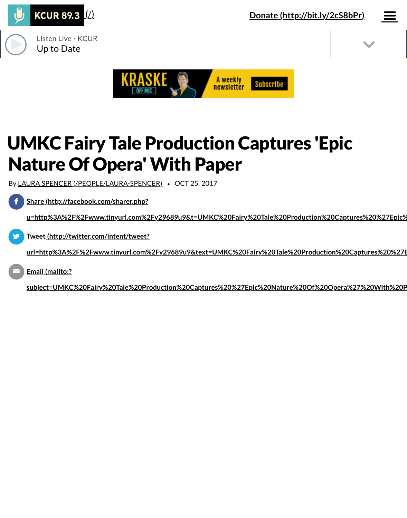





# UMKC Fairy Tale Production Captures 'Epic Nature Of Opera' With Paper

By [LAURA SPENCER \(/PEOPLE/LAURA-SPENCER\)](https://www.kcur.org/people/laura-spencer) *•* OCT 25, 2017

**Share (http://facebook.com/sharer.php?**  $\mathbf f$ 

**[u=http%3A%2F%2Fwww.tinyurl.com%2Fy29689u9&t=UMKC%20Fairy%20Tale%20Production%20Captures%20%27Epic%](http://facebook.com/sharer.php?u=http%3A%2F%2Fwww.tinyurl.com%2Fy29689u9&t=UMKC%20Fairy%20Tale%20Production%20Captures%20%27Epic%20Nature%20Of%20Opera%27%20With%20Paper)20Nature%20Of%20Opera%27%20With%20Paper)**

**Tweet (http://twitter.com/intent/tweet?** ""

**[url=http%3A%2F%2Fwww.tinyurl.com%2Fy29689u9&text=UMKC%20Fairy%20Tale%20Production%20Captures%20%27E](http://twitter.com/intent/tweet?url=http%3A%2F%2Fwww.tinyurl.com%2Fy29689u9&text=UMKC%20Fairy%20Tale%20Production%20Captures%20%27Epic%20Nature%20Of%20Opera%27%20With%20Paper)pic%20Nature%20Of%20Opera%27%20With%20Paper)**

**Email (mailto:?**  $\geq$ 

**[subject=UMKC%20Fairy%20Tale%20Production%20Captures%20%27Epic%20Nature%20Of%20Opera%27%20With%20P](mailto:?subject=UMKC%20Fairy%20Tale%20Production%20Captures%20%27Epic%20Nature%20Of%20Opera%27%20With%20Paper&body=http%3A%2F%2Fwww.tinyurl.com%2Fy29689u9)aper&body=http%3A%2F%2Fwww.tinyurl.com%2Fy29689u9)**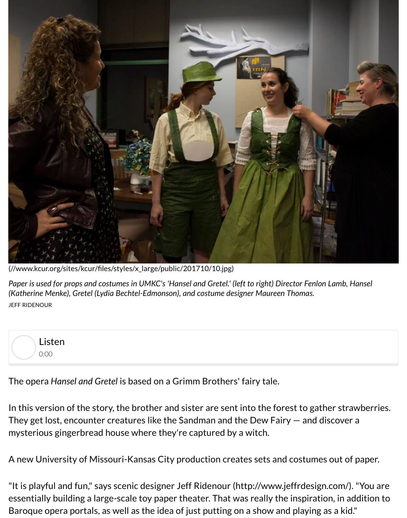

[\(//www.kcur.org/sites/kcur/files/styles/x\\_large/public/201710/10.jpg\)](https://www.kcur.org/sites/kcur/files/styles/x_large/public/201710/10.jpg)

*Paper is used for props and costumes in UMKC's 'Hansel and Gretel.' (left to right) Director Fenlon Lamb, Hansel (Katherine Menke), Gretel (Lydia Bechtel-Edmonson), and costume designer Maureen Thomas.* JEFF RIDENOUR



The opera *Hansel and Gretel* is based on a Grimm Brothers' fairy tale.

In this version of the story, the brother and sister are sent into the forest to gather strawberries. They get lost, encounter creatures like the Sandman and the Dew Fairy — and discover a mysterious gingerbread house where they're captured by a witch.

A new University of Missouri-Kansas City production creates sets and costumes out of paper.

"It is playful and fun," says scenic designer [Jeff Ridenour \(http://www.jeffrdesign.com/\)](http://www.jeffrdesign.com/). "You are essentially building a large-scale toy paper theater. That was really the inspiration, in addition to Baroque opera portals, as well as the idea of just putting on a show and playing as a kid."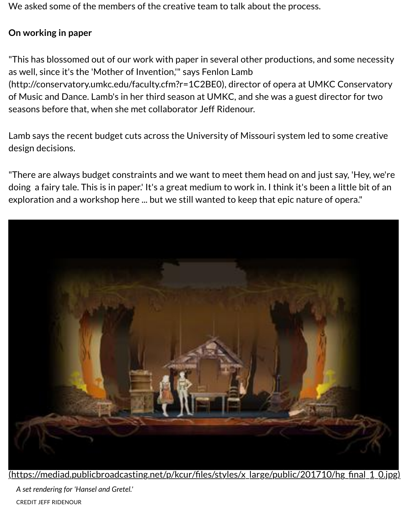We asked some of the members of the creative team to talk about the process.

## **On working in paper**

"This has blossomed out of our work with paper in several other productions, and some necessity as well, since it's the 'Mother of Invention,'" says Fenlon Lamb

[\(http://conservatory.umkc.edu/faculty.cfm?r=1C2BE0\), directo](http://conservatory.umkc.edu/faculty.cfm?r=1C2BE0)r of opera at UMKC Conservatory of Music and Dance. Lamb's in her third season at UMKC, and she was a guest director for two seasons before that, when she met collaborator Jeff Ridenour.

Lamb says the recent budget cuts across the University of Missouri system led to some creative design decisions.

"There are always budget constraints and we want to meet them head on and just say, 'Hey, we're doing a fairy tale. This is in paper.' It's a great medium to work in. I think it's been a little bit of an exploration and a workshop here ... but we still wanted to keep that epic nature of opera."



[\(https://mediad.publicbroadcasting.net/p/kcur/files/styles/x\\_large/public/201710/hg\\_final\\_1\\_0.jpg\)](https://mediad.publicbroadcasting.net/p/kcur/files/styles/x_large/public/201710/hg_final_1_0.jpg)

*A set rendering for 'Hansel and Gretel.'* CREDIT JEFF RIDENOUR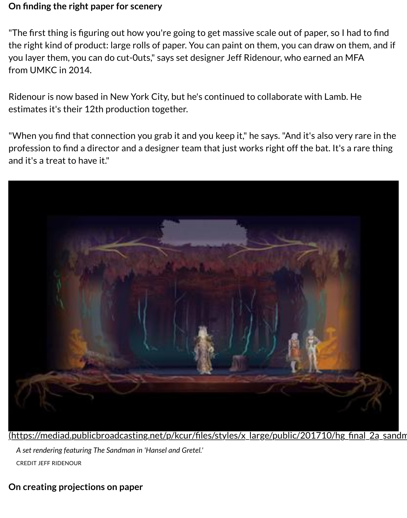## **On finding the right paper for scenery**

"The first thing is figuring out how you're going to get massive scale out of paper, so I had to find the right kind of product: large rolls of paper. You can paint on them, you can draw on them, and if you layer them, you can do cut-0uts," says set designer Jeff Ridenour, who earned an MFA from UMKC in 2014.

Ridenour is now based in New York City, but he's continued to collaborate with Lamb. He estimates it's their 12th production together.

"When you find that connection you grab it and you keep it," he says. "And it's also very rare in the profession to find a director and a designer team that just works right off the bat. It's a rare thing and it's a treat to have it."



[\(https://mediad.publicbroadcasting.net/p/kcur/files/styles/x\\_large/public/201710/hg\\_final\\_2a\\_sandm](https://mediad.publicbroadcasting.net/p/kcur/files/styles/x_large/public/201710/hg_final_2a_sandman.jpg) *A set rendering featuring The Sandman in 'Hansel and Gretel.'* CREDIT JEFF RIDENOUR

## **On creating projections on paper**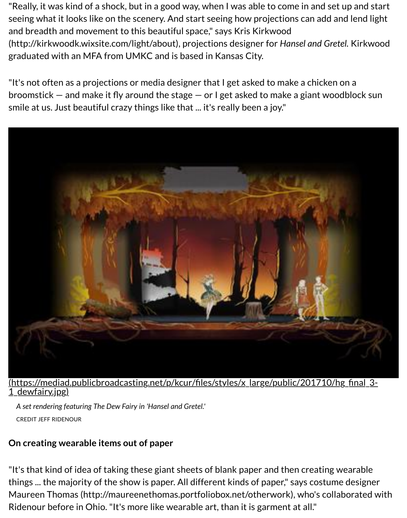"Really, it was kind of a shock, but in a good way, when I was able to come in and set up and start seeing what it looks like on the scenery. And start seeing how projections can add and lend light [and breadth and movement to this beautiful space," says Kris Kirkwood](http://kirkwoodk.wixsite.com/light/about) (http://kirkwoodk.wixsite.com/light/about), projections designer for *Hansel and Gretel.* Kirkwood graduated with an MFA from UMKC and is based in Kansas City.

"It's not often as a projections or media designer that I get asked to make a chicken on a broomstick — and make it fly around the stage — or I get asked to make a giant woodblock sun smile at us. Just beautiful crazy things like that ... it's really been a joy."



#### [\(https://mediad.publicbroadcasting.net/p/kcur/files/styles/x\\_large/public/201710/hg\\_final\\_3-](https://mediad.publicbroadcasting.net/p/kcur/files/styles/x_large/public/201710/hg_final_3-1_dewfairy.jpg) 1 dewfairy.jpg)

*A set rendering featuring The Dew Fairy in 'Hansel and Gretel.'* CREDIT JEFF RIDENOUR

## **On creating wearable items out of paper**

"It's that kind of idea of taking these giant sheets of blank paper and then creating wearable things ... the majority of the show is paper. All different kinds of paper," says costume designer [Maureen Thomas \(http://maureenethomas.portfoliobox.net/otherwork\)](http://maureenethomas.portfoliobox.net/otherwork), who's collaborated with Ridenour before in Ohio. "It's more like wearable art, than it is garment at all."